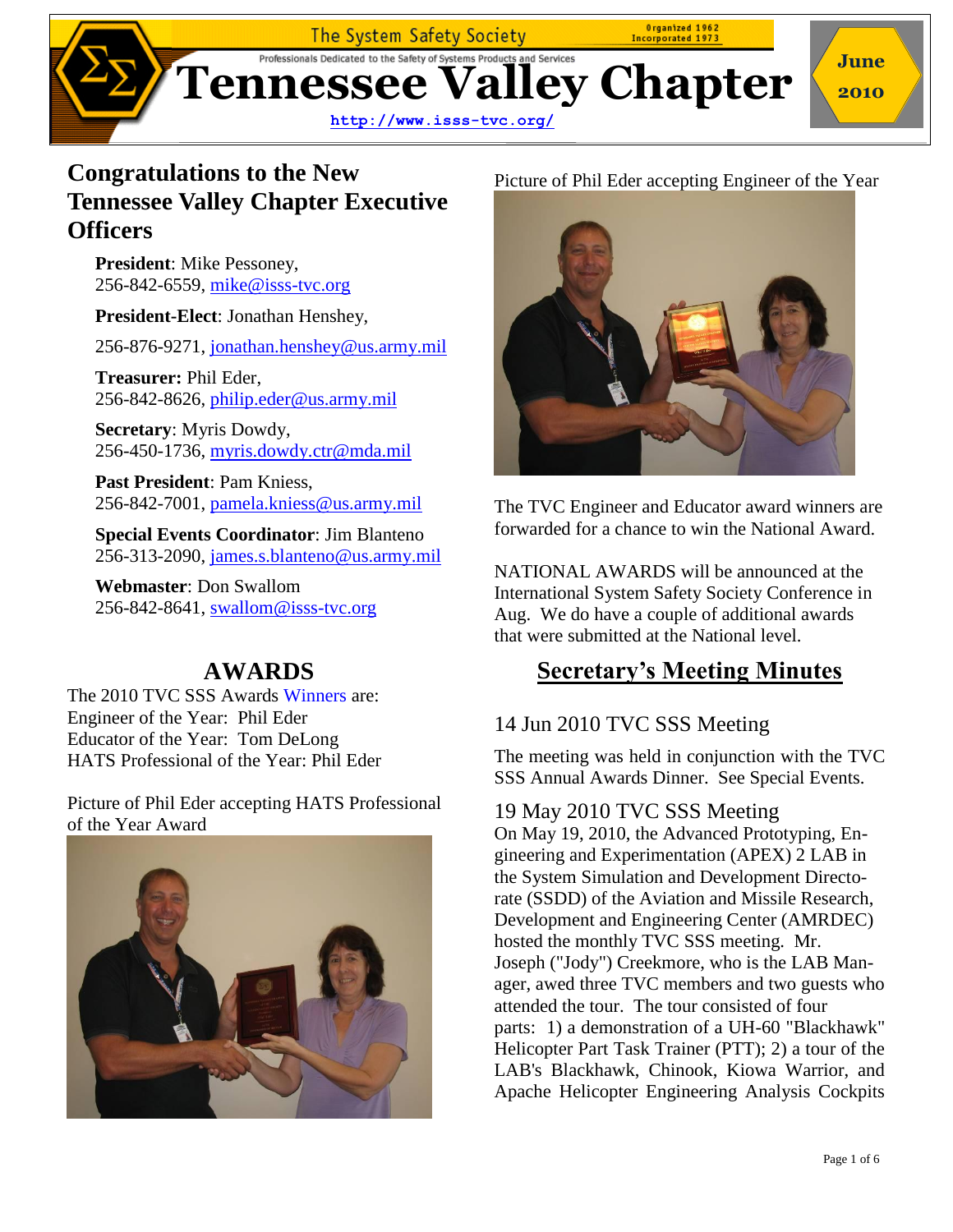

### **Congratulations to the New Tennessee Valley Chapter Executive Officers**

**President**: Mike Pessoney, 256-842-6559, [mike@isss-tvc.org](mailto:Mike.Pessoney@us.army.mil)

**President-Elect**: Jonathan Henshey,

256-876-9271, [jonathan.henshey@us.army.mil](mailto:jonathan.henshey@us.army.mil)

**Treasurer:** Phil Eder, 256-842-8626, [philip.eder@us.army.mil](mailto:philip.eder@us.army.mil)

**Secretary**: Myris Dowdy, 256-450-1736, [myris.dowdy.ctr@mda.mil](mailto:myris.dowdy.ctr@mda.mil)

**Past President**: Pam Kniess, 256-842-7001, [pamela.kniess@us.army.mil](mailto:Pamela.Kniess@us.army.mil)

**Special Events Coordinator**: Jim Blanteno 256-313-2090, [james.s.blanteno@us.army.mil](mailto:James.s.Blanteno@us.army.mil)

**Webmaster**: Don Swallom 256-842-8641, [swallom@isss-tvc.org](mailto:swallom@isss-tvc.org?subject=SSS%20TVC)

### **AWARDS**

The 2010 TVC SSS Awards Winners are: Engineer of the Year: Phil Eder Educator of the Year: Tom DeLong HATS Professional of the Year: Phil Eder

Picture of Phil Eder accepting HATS Professional of the Year Award



#### Picture of Phil Eder accepting Engineer of the Year



The TVC Engineer and Educator award winners are forwarded for a chance to win the National Award.

NATIONAL AWARDS will be announced at the International System Safety Society Conference in Aug. We do have a couple of additional awards that were submitted at the National level.

### **Secretary's Meeting Minutes**

#### 14 Jun 2010 TVC SSS Meeting

The meeting was held in conjunction with the TVC SSS Annual Awards Dinner. See Special Events.

#### 19 May 2010 TVC SSS Meeting

On May 19, 2010, the Advanced Prototyping, Engineering and Experimentation (APEX) 2 LAB in the System Simulation and Development Directorate (SSDD) of the Aviation and Missile Research, Development and Engineering Center (AMRDEC) hosted the monthly TVC SSS meeting. Mr. Joseph ("Jody") Creekmore, who is the LAB Manager, awed three TVC members and two guests who attended the tour. The tour consisted of four parts: 1) a demonstration of a UH-60 "Blackhawk" Helicopter Part Task Trainer (PTT); 2) a tour of the LAB's Blackhawk, Chinook, Kiowa Warrior, and Apache Helicopter Engineering Analysis Cockpits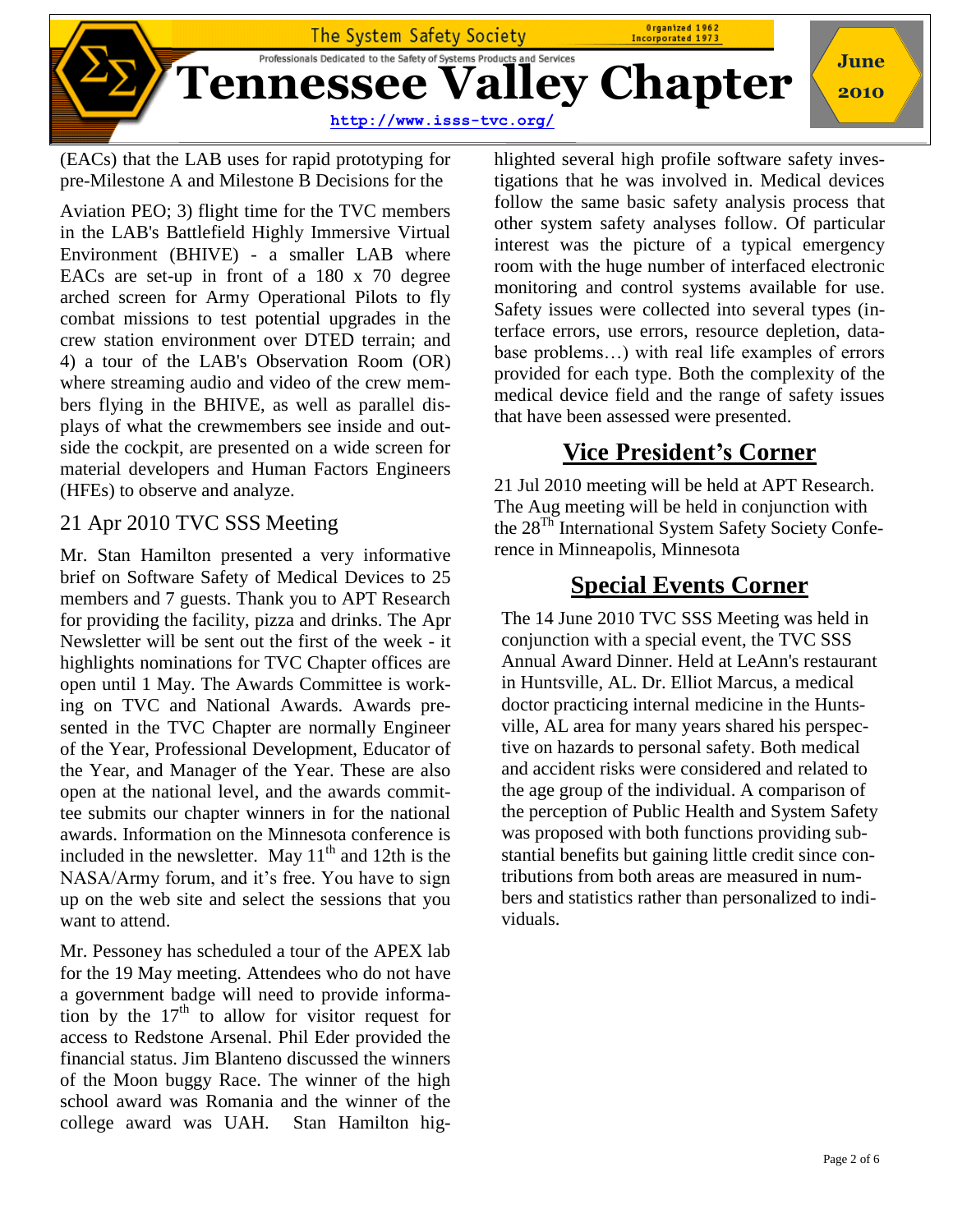

(EACs) that the LAB uses for rapid prototyping for pre-Milestone A and Milestone B Decisions for the

Aviation PEO; 3) flight time for the TVC members in the LAB's Battlefield Highly Immersive Virtual Environment (BHIVE) - a smaller LAB where EACs are set-up in front of a 180 x 70 degree arched screen for Army Operational Pilots to fly combat missions to test potential upgrades in the crew station environment over DTED terrain; and 4) a tour of the LAB's Observation Room (OR) where streaming audio and video of the crew members flying in the BHIVE, as well as parallel displays of what the crewmembers see inside and outside the cockpit, are presented on a wide screen for material developers and Human Factors Engineers (HFEs) to observe and analyze.

#### 21 Apr 2010 TVC SSS Meeting

Mr. Stan Hamilton presented a very informative brief on Software Safety of Medical Devices to 25 members and 7 guests. Thank you to APT Research for providing the facility, pizza and drinks. The Apr Newsletter will be sent out the first of the week - it highlights nominations for TVC Chapter offices are open until 1 May. The Awards Committee is working on TVC and National Awards. Awards presented in the TVC Chapter are normally Engineer of the Year, Professional Development, Educator of the Year, and Manager of the Year. These are also open at the national level, and the awards committee submits our chapter winners in for the national awards. Information on the Minnesota conference is included in the newsletter. May  $11<sup>th</sup>$  and  $12th$  is the NASA/Army forum, and it's free. You have to sign up on the web site and select the sessions that you want to attend.

Mr. Pessoney has scheduled a tour of the APEX lab for the 19 May meeting. Attendees who do not have a government badge will need to provide information by the  $17<sup>th</sup>$  to allow for visitor request for access to Redstone Arsenal. Phil Eder provided the financial status. Jim Blanteno discussed the winners of the Moon buggy Race. The winner of the high school award was Romania and the winner of the college award was UAH. Stan Hamilton hig-

hlighted several high profile software safety investigations that he was involved in. Medical devices follow the same basic safety analysis process that other system safety analyses follow. Of particular interest was the picture of a typical emergency room with the huge number of interfaced electronic monitoring and control systems available for use. Safety issues were collected into several types (interface errors, use errors, resource depletion, database problems…) with real life examples of errors provided for each type. Both the complexity of the medical device field and the range of safety issues that have been assessed were presented.

## **Vice President's Corner**

21 Jul 2010 meeting will be held at APT Research. The Aug meeting will be held in conjunction with the 28Th International System Safety Society Conference in Minneapolis, Minnesota

### **Special Events Corner**

The 14 June 2010 TVC SSS Meeting was held in conjunction with a special event, the TVC SSS Annual Award Dinner. Held at LeAnn's restaurant in Huntsville, AL. Dr. Elliot Marcus, a medical doctor practicing internal medicine in the Huntsville, AL area for many years shared his perspective on hazards to personal safety. Both medical and accident risks were considered and related to the age group of the individual. A comparison of the perception of Public Health and System Safety was proposed with both functions providing substantial benefits but gaining little credit since contributions from both areas are measured in numbers and statistics rather than personalized to individuals.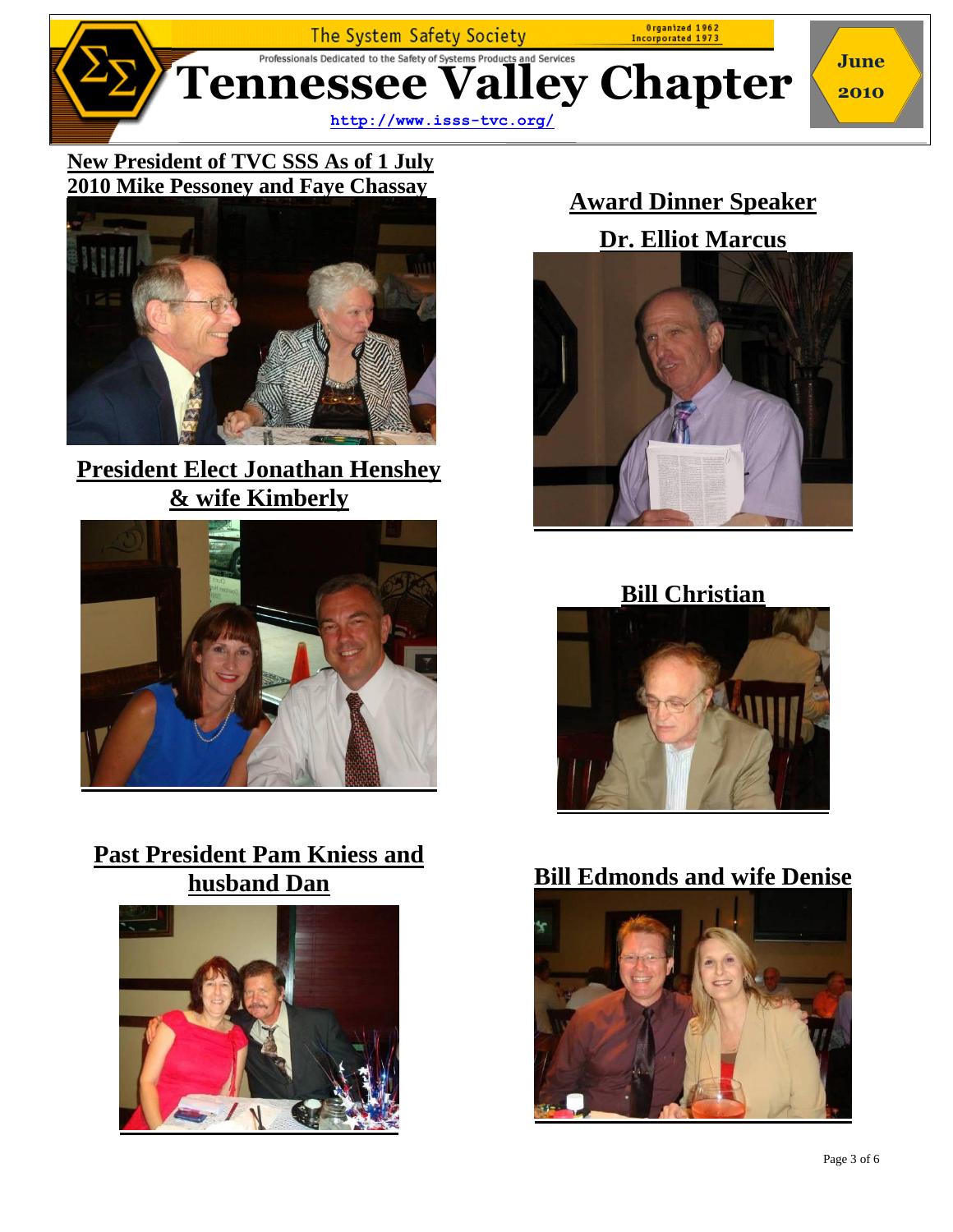

#### **New President of TVC SSS As of 1 July 2010 Mike Pessoney and Faye Chassay**



# **President Elect Jonathan Henshey & wife Kimberly**



### **Past President Pam Kniess and husband Dan**



# **Award Dinner Speaker**





### **Bill Christian**



### **Bill Edmonds and wife Denise**

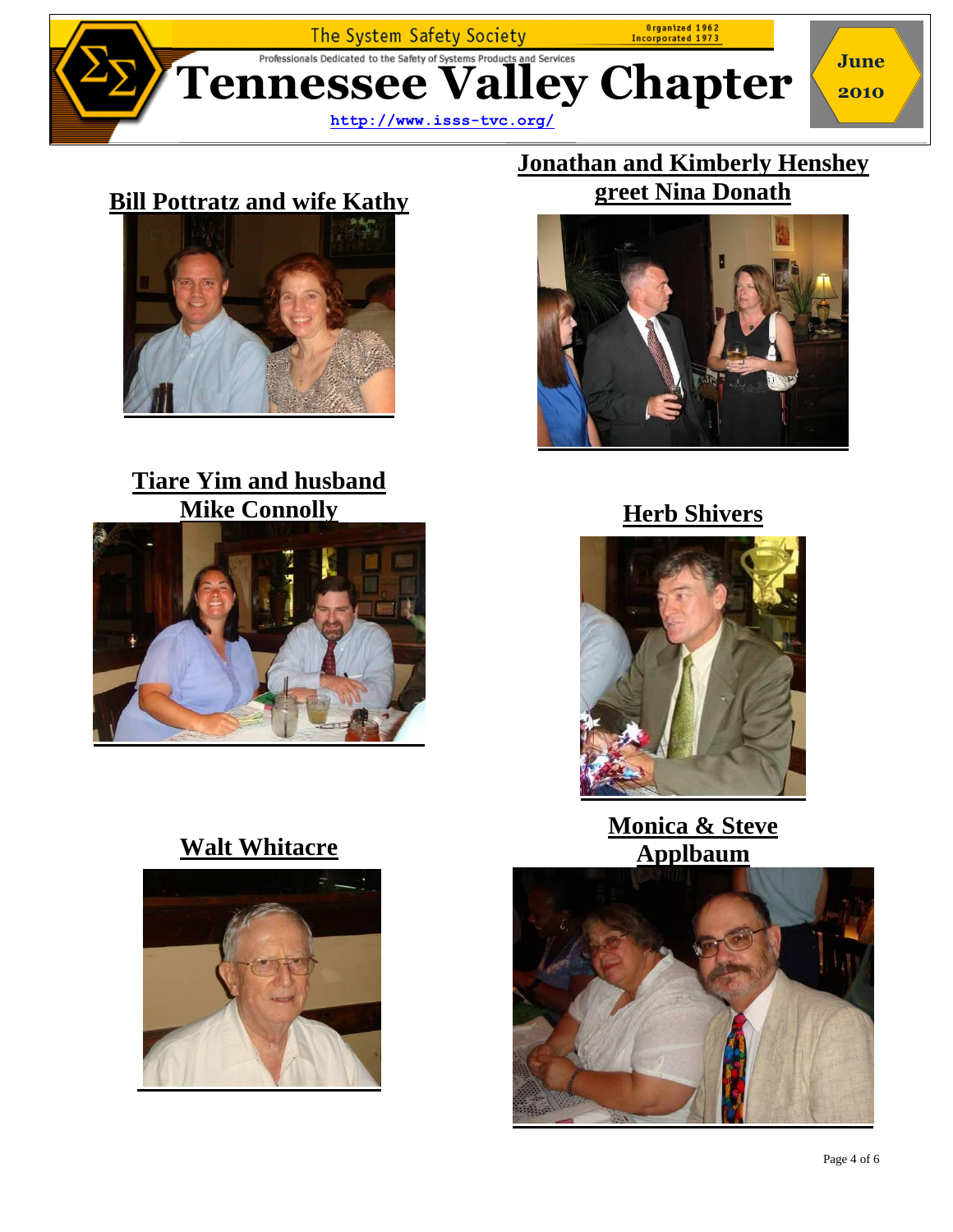

# **Bill Pottratz and wife Kathy**



# **Tiare Yim and husband Mike Connolly**



# **Walt Whitacre**



### **Jonathan and Kimberly Henshey greet Nina Donath**



### **Herb Shivers**



**Monica & Steve Applbaum**

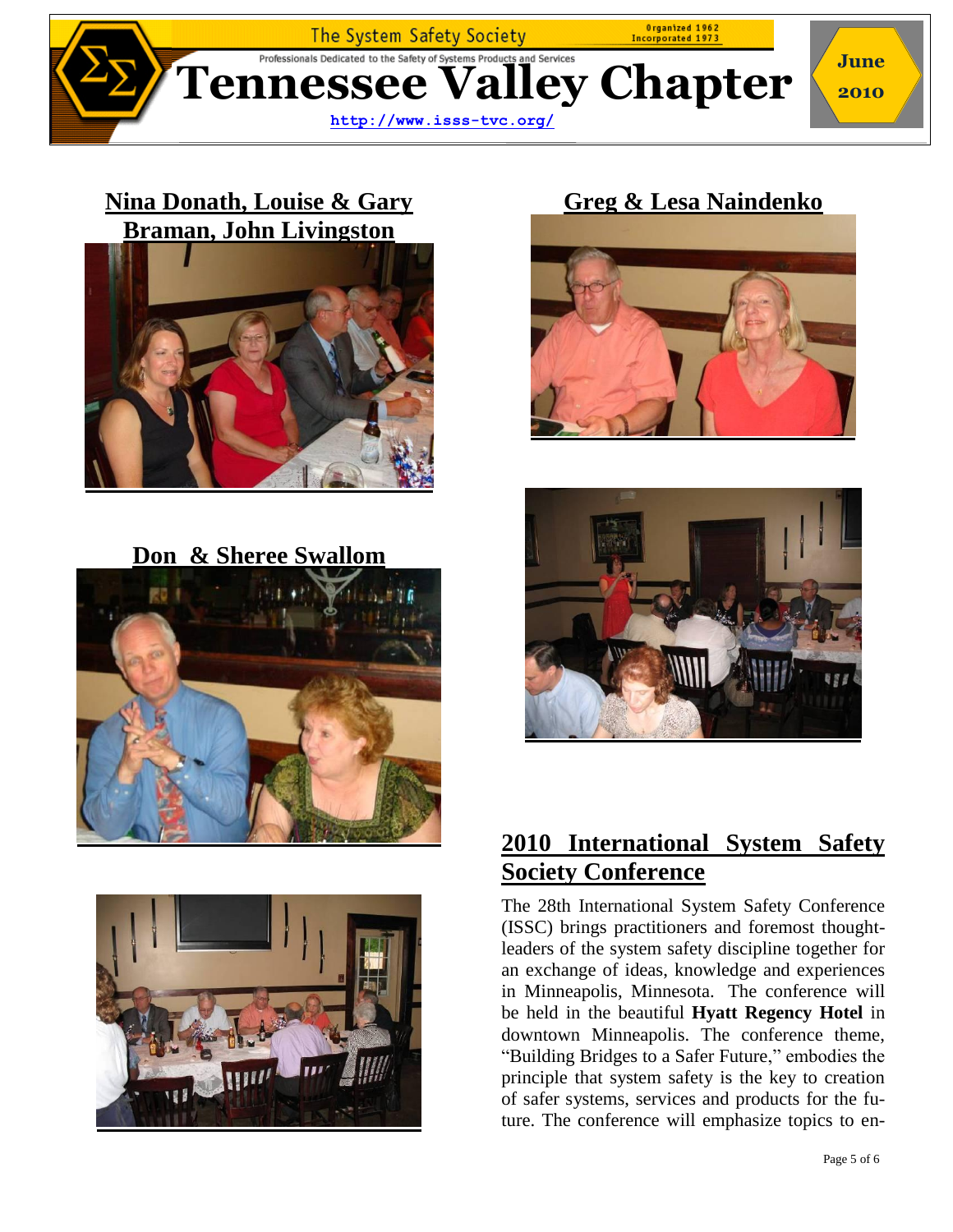

### **Nina Donath, Louise & Gary Braman, John Livingston**



**Don & Sheree Swallom** 





## **Greg & Lesa Naindenko**





### **2010 International System Safety Society Conference**

The 28th International System Safety Conference (ISSC) brings practitioners and foremost thoughtleaders of the system safety discipline together for an exchange of ideas, knowledge and experiences in Minneapolis, Minnesota. The conference will be held in the beautiful **[Hyatt Regency Hotel](http://minneapolis.hyatt.com/hyatt/hotels/index.jsp)** in downtown Minneapolis. The conference theme, "Building Bridges to a Safer Future," embodies the principle that system safety is the key to creation of safer systems, services and products for the future. The conference will emphasize topics to en-